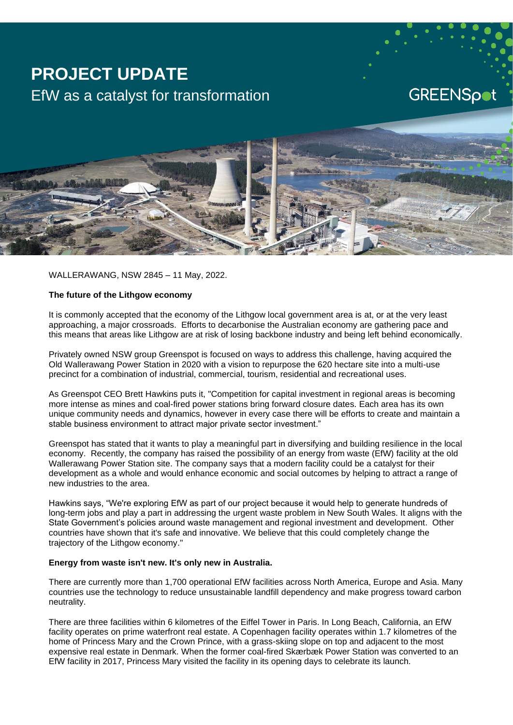# **PROJECT UPDATE** EfW as a catalyst for transformation

**GREENSpot** 



WALLERAWANG, NSW 2845 – 11 May, 2022.

### **The future of the Lithgow economy**

It is commonly accepted that the economy of the Lithgow local government area is at, or at the very least approaching, a major crossroads. Efforts to decarbonise the Australian economy are gathering pace and this means that areas like Lithgow are at risk of losing backbone industry and being left behind economically.

Privately owned NSW group Greenspot is focused on ways to address this challenge, having acquired the Old Wallerawang Power Station in 2020 with a vision to repurpose the 620 hectare site into a multi-use precinct for a combination of industrial, commercial, tourism, residential and recreational uses.

As Greenspot CEO Brett Hawkins puts it, "Competition for capital investment in regional areas is becoming more intense as mines and coal-fired power stations bring forward closure dates. Each area has its own unique community needs and dynamics, however in every case there will be efforts to create and maintain a stable business environment to attract major private sector investment."

Greenspot has stated that it wants to play a meaningful part in diversifying and building resilience in the local economy. Recently, the company has raised the possibility of an energy from waste (EfW) facility at the old Wallerawang Power Station site. The company says that a modern facility could be a catalyst for their development as a whole and would enhance economic and social outcomes by helping to attract a range of new industries to the area.

Hawkins says, "We're exploring EfW as part of our project because it would help to generate hundreds of long-term jobs and play a part in addressing the urgent waste problem in New South Wales. It aligns with the State Government's policies around waste management and regional investment and development. Other countries have shown that it's safe and innovative. We believe that this could completely change the trajectory of the Lithgow economy."

### **Energy from waste isn't new. It's only new in Australia.**

There are currently more than 1,700 operational EfW facilities across North America, Europe and Asia. Many countries use the technology to reduce unsustainable landfill dependency and make progress toward carbon neutrality.

There are three facilities within 6 kilometres of the Eiffel Tower in Paris. In Long Beach, California, an EfW facility operates on prime waterfront real estate. A Copenhagen facility operates within 1.7 kilometres of the home of Princess Mary and the Crown Prince, with a grass-skiing slope on top and adjacent to the most expensive real estate in Denmark. When the former coal-fired Skærbæk Power Station was converted to an EfW facility in 2017, Princess Mary visited the facility in its opening days to celebrate its launch.